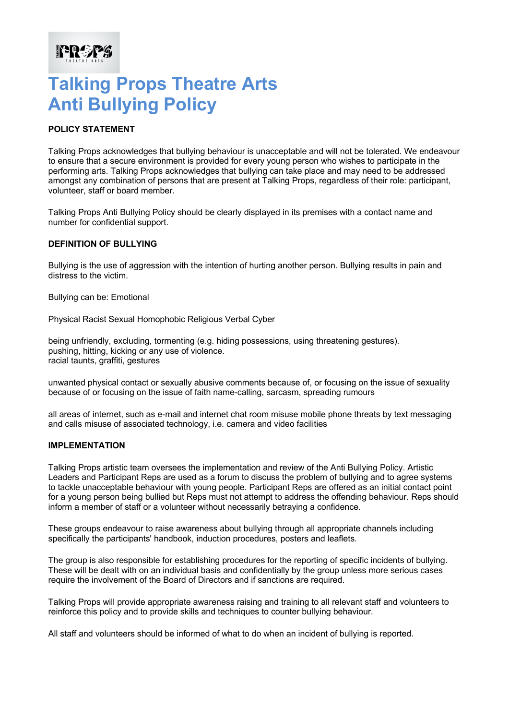# **Talking Props Theatre Arts Anti Bullying Policy**

# **POLICY STATEMENT**

**FREES** 

Talking Props acknowledges that bullying behaviour is unacceptable and will not be tolerated. We endeavour to ensure that a secure environment is provided for every young person who wishes to participate in the performing arts. Talking Props acknowledges that bullying can take place and may need to be addressed amongst any combination of persons that are present at Talking Props, regardless of their role: participant, volunteer, staff or board member.

Talking Props Anti Bullying Policy should be clearly displayed in its premises with a contact name and number for confidential support.

### **DEFINITION OF BULLYING**

Bullying is the use of aggression with the intention of hurting another person. Bullying results in pain and distress to the victim.

Bullying can be: Emotional

Physical Racist Sexual Homophobic Religious Verbal Cyber

being unfriendly, excluding, tormenting (e.g. hiding possessions, using threatening gestures). pushing, hitting, kicking or any use of violence. racial taunts, graffiti, gestures

unwanted physical contact or sexually abusive comments because of, or focusing on the issue of sexuality because of or focusing on the issue of faith name-calling, sarcasm, spreading rumours

all areas of internet, such as e-mail and internet chat room misuse mobile phone threats by text messaging and calls misuse of associated technology, i.e. camera and video facilities

#### **IMPLEMENTATION**

Talking Props artistic team oversees the implementation and review of the Anti Bullying Policy. Artistic Leaders and Participant Reps are used as a forum to discuss the problem of bullying and to agree systems to tackle unacceptable behaviour with young people. Participant Reps are offered as an initial contact point for a young person being bullied but Reps must not attempt to address the offending behaviour. Reps should inform a member of staff or a volunteer without necessarily betraying a confidence.

These groups endeavour to raise awareness about bullying through all appropriate channels including specifically the participants' handbook, induction procedures, posters and leaflets.

The group is also responsible for establishing procedures for the reporting of specific incidents of bullying. These will be dealt with on an individual basis and confidentially by the group unless more serious cases require the involvement of the Board of Directors and if sanctions are required.

Talking Props will provide appropriate awareness raising and training to all relevant staff and volunteers to reinforce this policy and to provide skills and techniques to counter bullying behaviour.

All staff and volunteers should be informed of what to do when an incident of bullying is reported.